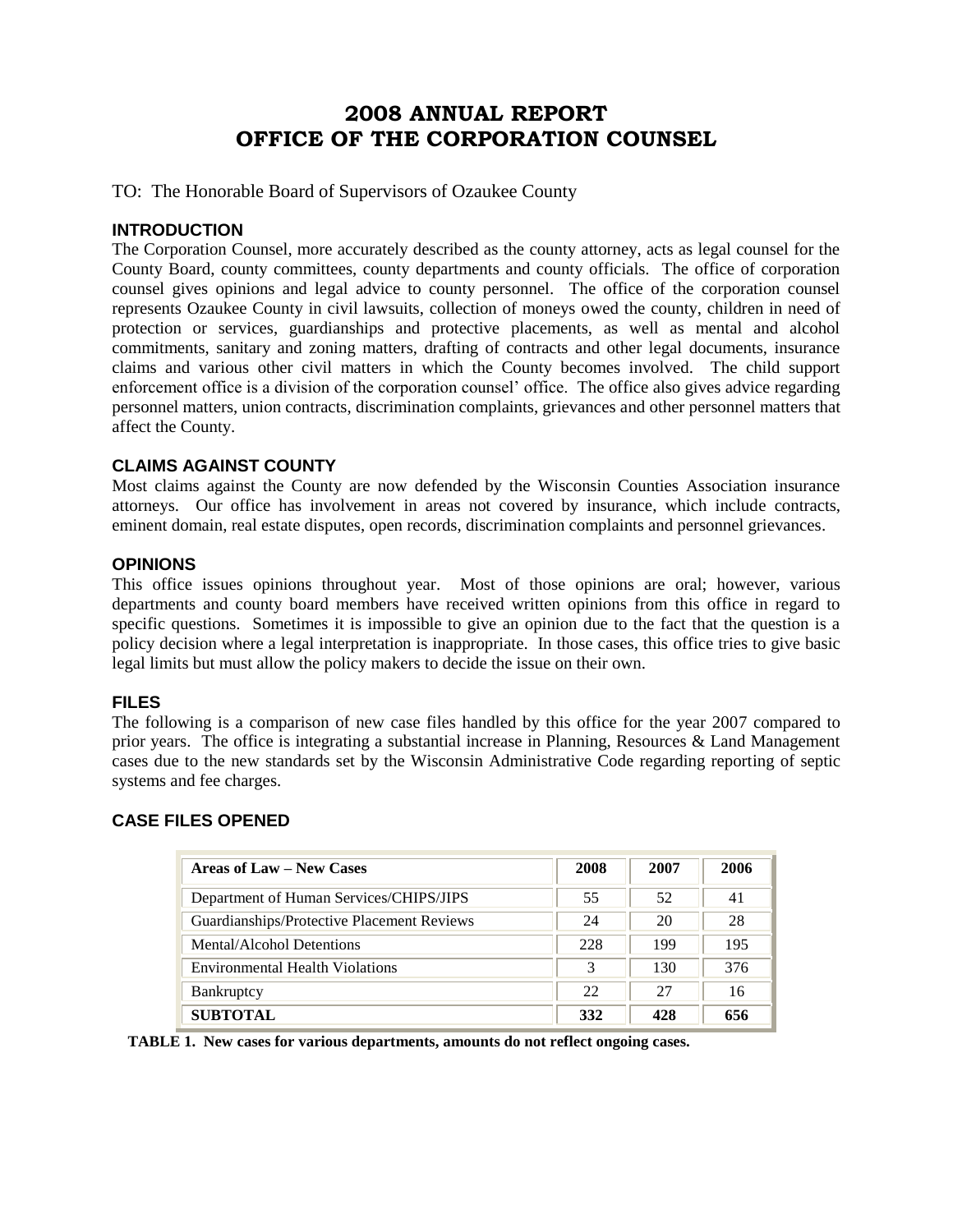## **2008 ANNUAL REPORT OFFICE OF THE CORPORATION COUNSEL**

TO: The Honorable Board of Supervisors of Ozaukee County

#### **INTRODUCTION**

The Corporation Counsel, more accurately described as the county attorney, acts as legal counsel for the County Board, county committees, county departments and county officials. The office of corporation counsel gives opinions and legal advice to county personnel. The office of the corporation counsel represents Ozaukee County in civil lawsuits, collection of moneys owed the county, children in need of protection or services, guardianships and protective placements, as well as mental and alcohol commitments, sanitary and zoning matters, drafting of contracts and other legal documents, insurance claims and various other civil matters in which the County becomes involved. The child support enforcement office is a division of the corporation counsel' office. The office also gives advice regarding personnel matters, union contracts, discrimination complaints, grievances and other personnel matters that affect the County.

#### **CLAIMS AGAINST COUNTY**

Most claims against the County are now defended by the Wisconsin Counties Association insurance attorneys. Our office has involvement in areas not covered by insurance, which include contracts, eminent domain, real estate disputes, open records, discrimination complaints and personnel grievances.

#### **OPINIONS**

This office issues opinions throughout year. Most of those opinions are oral; however, various departments and county board members have received written opinions from this office in regard to specific questions. Sometimes it is impossible to give an opinion due to the fact that the question is a policy decision where a legal interpretation is inappropriate. In those cases, this office tries to give basic legal limits but must allow the policy makers to decide the issue on their own.

#### **FILES**

The following is a comparison of new case files handled by this office for the year 2007 compared to prior years. The office is integrating a substantial increase in Planning, Resources & Land Management cases due to the new standards set by the Wisconsin Administrative Code regarding reporting of septic systems and fee charges.

#### **CASE FILES OPENED**

| <b>Areas of Law – New Cases</b>            | 2008 | 2007 | 2006 |
|--------------------------------------------|------|------|------|
| Department of Human Services/CHIPS/JIPS    | 55   | 52   | 41   |
| Guardianships/Protective Placement Reviews | 24   | 20   | 28   |
| Mental/Alcohol Detentions                  | 228  | 199  | 195  |
| <b>Environmental Health Violations</b>     | 3    | 130  | 376  |
| Bankruptcy                                 | 22   | 27   | 16   |
| <b>SUBTOTAL</b>                            | 332  | 428  | 656  |

 **TABLE 1. New cases for various departments, amounts do not reflect ongoing cases.**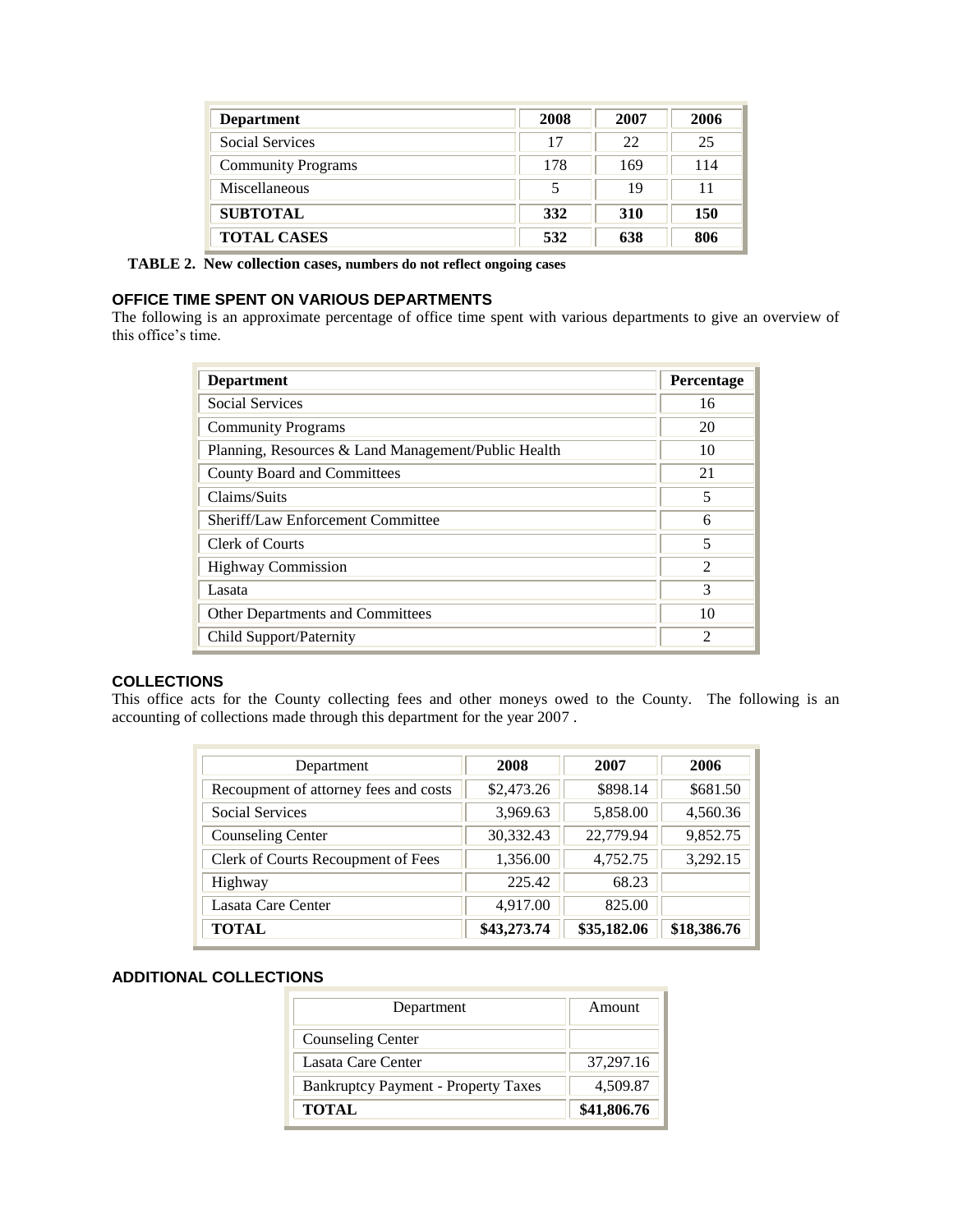| <b>Department</b>         | 2008 | 2007       | 2006 |
|---------------------------|------|------------|------|
| <b>Social Services</b>    | 17   | 22         | 25   |
| <b>Community Programs</b> | 178  | 169        | 114  |
| Miscellaneous             | 5    | 19         | 11   |
| <b>SUBTOTAL</b>           | 332  | <b>310</b> | 150  |
| <b>TOTAL CASES</b>        | 532  | 638        | 806  |

 **TABLE 2. New collection cases, numbers do not reflect ongoing cases**

#### **OFFICE TIME SPENT ON VARIOUS DEPARTMENTS**

The following is an approximate percentage of office time spent with various departments to give an overview of this office's time.

| <b>Department</b>                                   | Percentage                  |
|-----------------------------------------------------|-----------------------------|
| <b>Social Services</b>                              | 16                          |
| <b>Community Programs</b>                           | 20                          |
| Planning, Resources & Land Management/Public Health | 10                          |
| County Board and Committees                         | 21                          |
| Claims/Suits                                        | 5                           |
| Sheriff/Law Enforcement Committee                   | 6                           |
| Clerk of Courts                                     | 5                           |
| <b>Highway Commission</b>                           | $\mathcal{D}_{\mathcal{L}}$ |
| Lasata                                              | 3                           |
| Other Departments and Committees                    | 10                          |
| Child Support/Paternity                             | $\mathfrak{D}$              |

#### **COLLECTIONS**

This office acts for the County collecting fees and other moneys owed to the County. The following is an accounting of collections made through this department for the year 2007 .

| Department                            | 2008        | 2007        | 2006        |
|---------------------------------------|-------------|-------------|-------------|
| Recoupment of attorney fees and costs | \$2,473.26  | \$898.14    | \$681.50    |
| <b>Social Services</b>                | 3,969.63    | 5,858.00    | 4,560.36    |
| <b>Counseling Center</b>              | 30,332.43   | 22,779.94   | 9,852.75    |
| Clerk of Courts Recoupment of Fees    | 1,356.00    | 4,752.75    | 3,292.15    |
| Highway                               | 225.42      | 68.23       |             |
| Lasata Care Center                    | 4,917.00    | 825.00      |             |
| <b>TOTAL</b>                          | \$43,273.74 | \$35,182.06 | \$18,386.76 |

#### **ADDITIONAL COLLECTIONS**

| Department                                 | Amount      |
|--------------------------------------------|-------------|
| Counseling Center                          |             |
| Lasata Care Center                         | 37,297.16   |
| <b>Bankruptcy Payment - Property Taxes</b> | 4,509.87    |
| <b>TOTAL</b>                               | \$41,806.76 |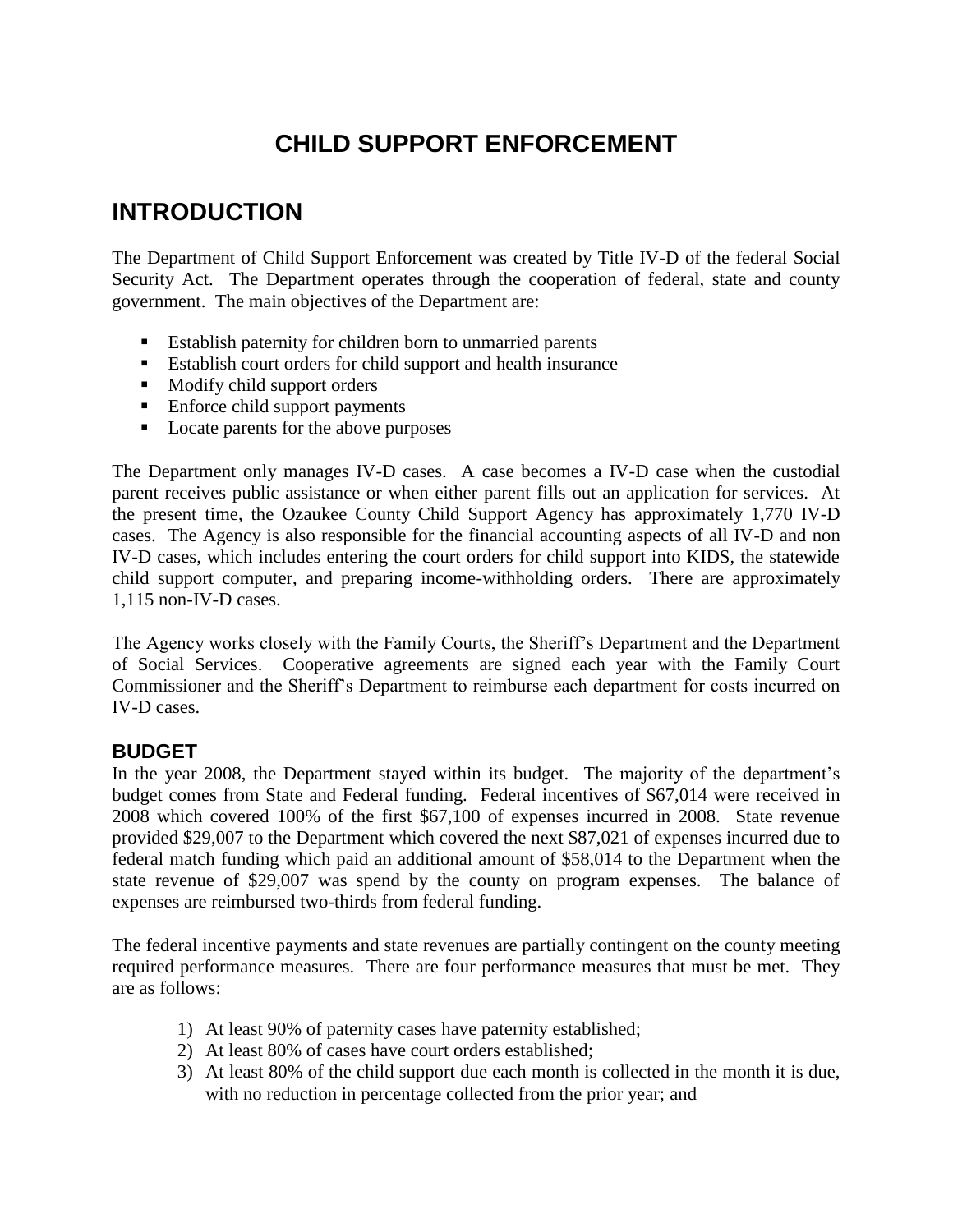# **CHILD SUPPORT ENFORCEMENT**

# **INTRODUCTION**

The Department of Child Support Enforcement was created by Title IV-D of the federal Social Security Act. The Department operates through the cooperation of federal, state and county government. The main objectives of the Department are:

- Establish paternity for children born to unmarried parents
- Establish court orders for child support and health insurance
- $\blacksquare$  Modify child support orders
- Enforce child support payments
- Locate parents for the above purposes

The Department only manages IV-D cases. A case becomes a IV-D case when the custodial parent receives public assistance or when either parent fills out an application for services. At the present time, the Ozaukee County Child Support Agency has approximately 1,770 IV-D cases. The Agency is also responsible for the financial accounting aspects of all IV-D and non IV-D cases, which includes entering the court orders for child support into KIDS, the statewide child support computer, and preparing income-withholding orders. There are approximately 1,115 non-IV-D cases.

The Agency works closely with the Family Courts, the Sheriff's Department and the Department of Social Services. Cooperative agreements are signed each year with the Family Court Commissioner and the Sheriff's Department to reimburse each department for costs incurred on IV-D cases.

### **BUDGET**

In the year 2008, the Department stayed within its budget. The majority of the department's budget comes from State and Federal funding. Federal incentives of \$67,014 were received in 2008 which covered 100% of the first \$67,100 of expenses incurred in 2008. State revenue provided \$29,007 to the Department which covered the next \$87,021 of expenses incurred due to federal match funding which paid an additional amount of \$58,014 to the Department when the state revenue of \$29,007 was spend by the county on program expenses. The balance of expenses are reimbursed two-thirds from federal funding.

The federal incentive payments and state revenues are partially contingent on the county meeting required performance measures. There are four performance measures that must be met. They are as follows:

- 1) At least 90% of paternity cases have paternity established;
- 2) At least 80% of cases have court orders established;
- 3) At least 80% of the child support due each month is collected in the month it is due, with no reduction in percentage collected from the prior year; and